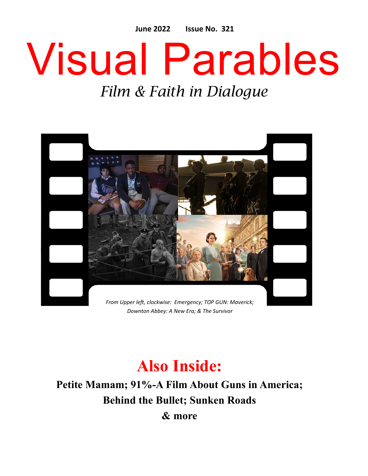**June 2022 Issue No. 321**

# Visual Parables

## *Film & Faith in Dialogue*



### **Also Inside:**

**Petite Mamam; 91%-A Film About Guns in America; Behind the Bullet; Sunken Roads & more**